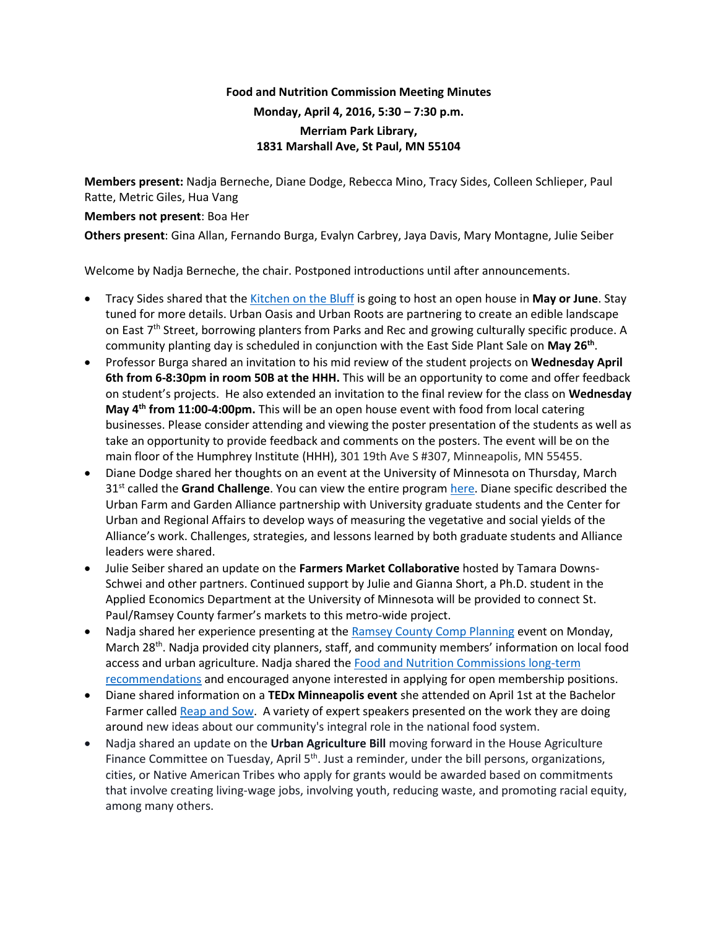## **Food and Nutrition Commission Meeting Minutes Monday, April 4, 2016, 5:30 – 7:30 p.m. Merriam Park Library, 1831 Marshall Ave, St Paul, MN 55104**

**Members present:** Nadja Berneche, Diane Dodge, Rebecca Mino, Tracy Sides, Colleen Schlieper, Paul Ratte, Metric Giles, Hua Vang

## **Members not present**: Boa Her

**Others present**: Gina Allan, Fernando Burga, Evalyn Carbrey, Jaya Davis, Mary Montagne, Julie Seiber

Welcome by Nadja Berneche, the chair. Postponed introductions until after announcements.

- Tracy Sides shared that th[e Kitchen on the Bluff](http://www.urbanoasismn.org/learn/) is going to host an open house in **May or June**. Stay tuned for more details. Urban Oasis and Urban Roots are partnering to create an edible landscape on East 7<sup>th</sup> Street, borrowing planters from Parks and Rec and growing culturally specific produce. A community planting day is scheduled in conjunction with the East Side Plant Sale on **May 26th** .
- Professor Burga shared an invitation to his mid review of the student projects on **Wednesday April 6th from 6-8:30pm in room 50B at the HHH.** This will be an opportunity to come and offer feedback on student's projects. He also extended an invitation to the final review for the class on **Wednesday May 4th from 11:00-4:00pm.** This will be an open house event with food from local catering businesses. Please consider attending and viewing the poster presentation of the students as well as take an opportunity to provide feedback and comments on the posters. The event will be on the main floor of the Humphrey Institute (HHH), 301 19th Ave S #307, Minneapolis, MN 55455.
- Diane Dodge shared her thoughts on an event at the University of Minnesota on Thursday, March 31st called the **Grand Challenge**. You can view the entire program [here.](http://engagement.umn.edu/news-and-events/meeting-societys-grand-challenges-through-community-engaged-research-teaching-and) Diane specific described the Urban Farm and Garden Alliance partnership with University graduate students and the Center for Urban and Regional Affairs to develop ways of measuring the vegetative and social yields of the Alliance's work. Challenges, strategies, and lessons learned by both graduate students and Alliance leaders were shared.
- Julie Seiber shared an update on the **Farmers Market Collaborative** hosted by Tamara Downs-Schwei and other partners. Continued support by Julie and Gianna Short, a Ph.D. student in the Applied Economics Department at the University of Minnesota will be provided to connect St. Paul/Ramsey County farmer's markets to this metro-wide project.
- Nadja shared her experience presenting at the [Ramsey County Comp Planning](http://allianceforsustainability.com/ramseyworkshop/) event on Monday, March 28<sup>th</sup>. Nadja provided city planners, staff, and community members' information on local food access and urban agriculture. Nadja shared the [Food and Nutrition Commissions long-term](https://www.ramseycounty.us/sites/default/files/Government/Leadership/Advisory%20Groups/Food%20and%20Nutrition%20Commission/FNC_final_report_2012_0.pdf)  [recommendations](https://www.ramseycounty.us/sites/default/files/Government/Leadership/Advisory%20Groups/Food%20and%20Nutrition%20Commission/FNC_final_report_2012_0.pdf) and encouraged anyone interested in applying for open membership positions.
- Diane shared information on a **TEDx Minneapolis event** she attended on April 1st at the Bachelor Farmer calle[d Reap and Sow.](http://us7.campaign-archive1.com/?u=63ad6cd3f51c6f3dd0556a88f&id=d6c1879fd1&e=%5BUNIQID) A variety of expert speakers presented on the work they are doing around new ideas about our community's integral role in the national food system.
- Nadja shared an update on the **Urban Agriculture Bill** moving forward in the House Agriculture Finance Committee on Tuesday, April 5<sup>th</sup>. Just a reminder, under the bill persons, organizations, cities, or Native American Tribes who apply for grants would be awarded based on commitments that involve creating living-wage jobs, involving youth, reducing waste, and promoting racial equity, among many others.